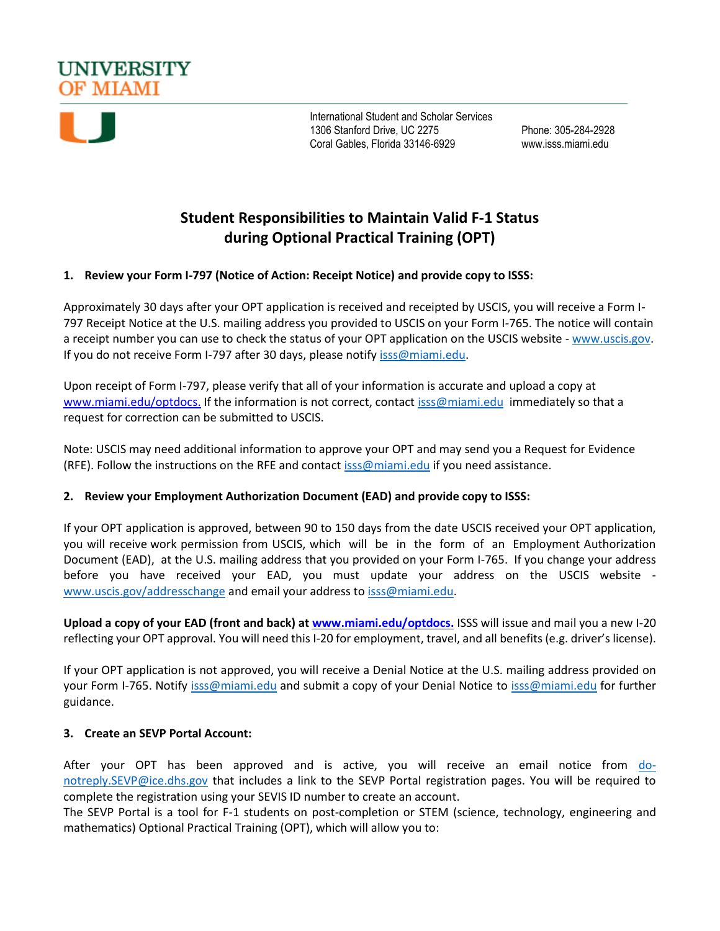



International Student and Scholar Services 1306 Stanford Drive, UC 2275 Phone: 305-284-2928 Coral Gables, Florida 33146-6929 www.isss.miami.edu

# **Student Responsibilities to Maintain Valid F-1 Status during Optional Practical Training (OPT)**

## **1. Review your Form I-797 (Notice of Action: Receipt Notice) and provide copy to ISSS:**

Approximately 30 days after your OPT application is received and receipted by USCIS, you will receive a Form I-797 Receipt Notice at the U.S. mailing address you provided to USCIS on your Form I-765. The notice will contain a receipt number you can use to check the status of your OPT application on the USCIS website - [www.uscis.gov.](http://www.uscis.gov/) If you do not receive Form I-797 after 30 days, please notify [isss@miami.edu.](mailto:isss@miami.edu)

Upon receipt of Form I-797, please verify that all of your information is accurate and upload a copy at [www.miami.edu/optdocs.](https://nam01.safelinks.protection.outlook.com/?url=https%3A%2F%2Fqafederation.ngwebsolutions.com%2Fsp%2FstartSSO.ping%3FPartnerIdpId%3Dhttps%3A%2F%2Fcaneid.miami.edu%2Fidp%2Fshibboleth%26TargetResource%3Dhttps%3A%2F%2Fdynamicforms.ngwebsolutions.com%2FSubmit%2FForm%2FStart%2F104f8b2b-96e3-4e2e-9e77-73d59ef55fad&data=02%7C01%7Cy.ramirez3%40miami.edu%7C4abc09ba72a74baa44ba08d757279607%7C2a144b72f23942d48c0e6f0f17c48e33%7C0%7C0%7C637073699836701331&sdata=yFkvNkfOn60JNi55y%2F6sQwU6nb9tgwAY%2B82pj1aRetk%3D&reserved=0) If the information is not correct, contact [isss@miami.edu](mailto:isss@miami.edu) immediately so that a request for correction can be submitted to USCIS.

Note: USCIS may need additional information to approve your OPT and may send you a Request for Evidence (RFE). Follow the instructions on the RFE and contac[t isss@miami.edu](mailto:isss@miami.edu) if you need assistance.

### **2. Review your Employment Authorization Document (EAD) and provide copy to ISSS:**

If your OPT application is approved, between 90 to 150 days from the date USCIS received your OPT application, you will receive work permission from USCIS, which will be in the form of an Employment Authorization Document (EAD), at the U.S. mailing address that you provided on your Form I-765. If you change your address before you have received your EAD, you must update your address on the USCIS website [www.uscis.gov/addresschange](file:///C:/Users/kristin.ponge/AppData/Local/Microsoft/Windows/INetCache/Content.Outlook/5LVAM8J4/www.uscis.gov/addresschange) and email your address t[o isss@miami.edu.](mailto:isss@miami.edu)

**Upload a copy of your EAD (front and back) a[t www.miami.edu/optdocs.](https://nam01.safelinks.protection.outlook.com/?url=https%3A%2F%2Fqafederation.ngwebsolutions.com%2Fsp%2FstartSSO.ping%3FPartnerIdpId%3Dhttps%3A%2F%2Fcaneid.miami.edu%2Fidp%2Fshibboleth%26TargetResource%3Dhttps%3A%2F%2Fdynamicforms.ngwebsolutions.com%2FSubmit%2FForm%2FStart%2F104f8b2b-96e3-4e2e-9e77-73d59ef55fad&data=02%7C01%7Cy.ramirez3%40miami.edu%7C4abc09ba72a74baa44ba08d757279607%7C2a144b72f23942d48c0e6f0f17c48e33%7C0%7C0%7C637073699836701331&sdata=yFkvNkfOn60JNi55y%2F6sQwU6nb9tgwAY%2B82pj1aRetk%3D&reserved=0)** ISSS will issue and mail you a new I-20 reflecting your OPT approval. You will need this I-20 for employment, travel, and all benefits (e.g. driver's license).

If your OPT application is not approved, you will receive a Denial Notice at the U.S. mailing address provided on your Form I-765. Notify [isss@miami.edu](mailto:isss@miami.edu) and submit a copy of your Denial Notice to [isss@miami.edu](mailto:isss@miami.edu) for further guidance.

### **3. Create an SEVP Portal Account:**

After your OPT has been approved and is active, you will receive an email notice from [do](mailto:do-notreply.SEVP@ice.dhs.gov)[notreply.SEVP@ice.dhs.gov](mailto:do-notreply.SEVP@ice.dhs.gov) that includes a link to the SEVP Portal registration pages. You will be required to complete the registration using your SEVIS ID number to create an account.

The SEVP Portal is a tool for F-1 students on post-completion or STEM (science, technology, engineering and mathematics) Optional Practical Training (OPT), which will allow you to: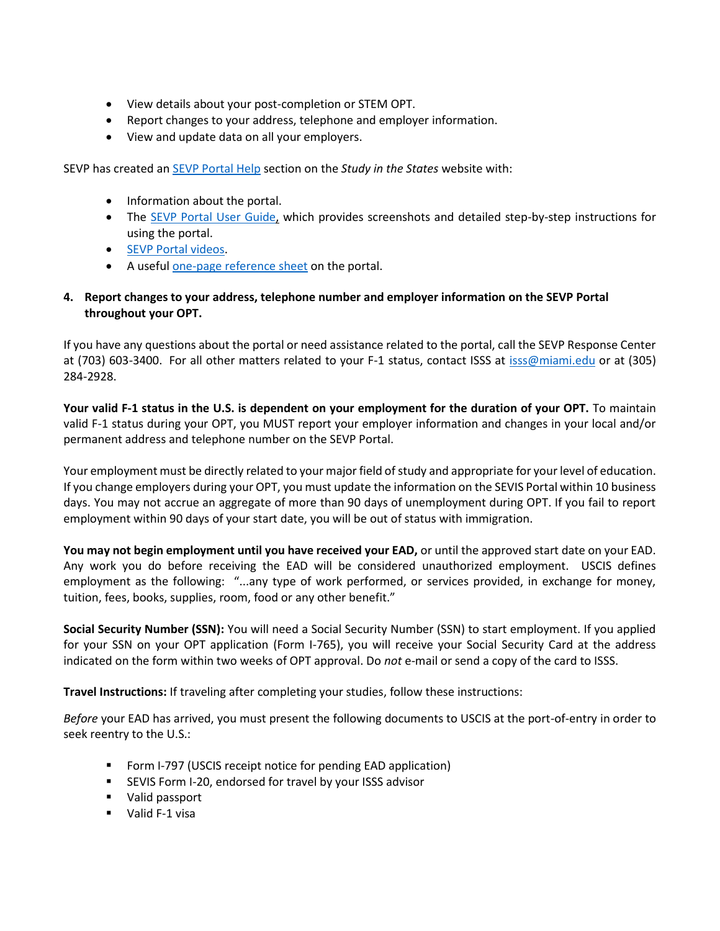- View details about your post-completion or STEM OPT.
- Report changes to your address, telephone and employer information.
- View and update data on all your employers.

SEVP has created an [SEVP Portal Help](https://studyinthestates.dhs.gov/sevp-portal-help) section on the *Study in the States* website with:

- Information about the portal.
- The [SEVP Portal User Guide,](https://studyinthestates.dhs.gov/assets/sevp_portal_student_user_guide.pdf) which provides screenshots and detailed step-by-step instructions for using the portal.
- **[SEVP Portal videos.](https://studyinthestates.dhs.gov/sevp-portal-tutorials)**
- A usefu[l one-page reference sheet](https://studyinthestates.dhs.gov/assets/sevp_portal_onepager.pdf) on the portal.

## **4. Report changes to your address, telephone number and employer information on the SEVP Portal throughout your OPT.**

If you have any questions about the portal or need assistance related to the portal, call the SEVP Response Center at (703) 603-3400. For all other matters related to your F-1 status, contact ISSS at [isss@miami.edu](mailto:isss@miami.edu) or at (305) 284-2928.

**Your valid F-1 status in the U.S. is dependent on your employment for the duration of your OPT.** To maintain valid F-1 status during your OPT, you MUST report your employer information and changes in your local and/or permanent address and telephone number on the SEVP Portal.

Your employment must be directly related to your major field of study and appropriate for your level of education. If you change employers during your OPT, you must update the information on the SEVIS Portal within 10 business days. You may not accrue an aggregate of more than 90 days of unemployment during OPT. If you fail to report employment within 90 days of your start date, you will be out of status with immigration.

**You may not begin employment until you have received your EAD,** or until the approved start date on your EAD. Any work you do before receiving the EAD will be considered unauthorized employment. USCIS defines employment as the following: "...any type of work performed, or services provided, in exchange for money, tuition, fees, books, supplies, room, food or any other benefit."

**Social Security Number (SSN):** You will need a Social Security Number (SSN) to start employment. If you applied for your SSN on your OPT application (Form I-765), you will receive your Social Security Card at the address indicated on the form within two weeks of OPT approval. Do *not* e-mail or send a copy of the card to ISSS.

**Travel Instructions:** If traveling after completing your studies, follow these instructions:

*Before* your EAD has arrived, you must present the following documents to USCIS at the port-of-entry in order to seek reentry to the U.S.:

- Form I-797 (USCIS receipt notice for pending EAD application)
- SEVIS Form I-20, endorsed for travel by your ISSS advisor
- **Valid passport**
- **Valid F-1 visa**